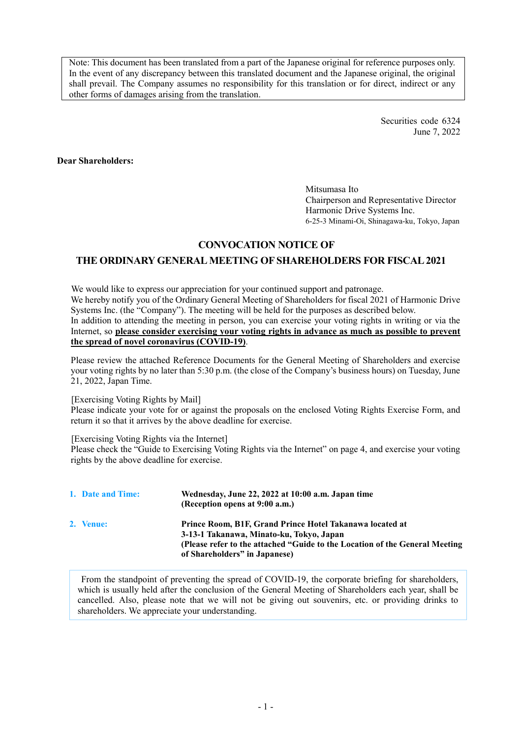Note: This document has been translated from a part of the Japanese original for reference purposes only. In the event of any discrepancy between this translated document and the Japanese original, the original shall prevail. The Company assumes no responsibility for this translation or for direct, indirect or any other forms of damages arising from the translation.

> Securities code 6324 June 7, 2022

**Dear Shareholders:**

Mitsumasa Ito Chairperson and Representative Director Harmonic Drive Systems Inc. 6-25-3 Minami-Oi, Shinagawa-ku, Tokyo, Japan

# **CONVOCATION NOTICE OF**

# **THE ORDINARY GENERAL MEETING OF SHAREHOLDERS FOR FISCAL 2021**

We would like to express our appreciation for your continued support and patronage. We hereby notify you of the Ordinary General Meeting of Shareholders for fiscal 2021 of Harmonic Drive Systems Inc. (the "Company"). The meeting will be held for the purposes as described below. In addition to attending the meeting in person, you can exercise your voting rights in writing or via the Internet, so **please consider exercising your voting rights in advance as much as possible to prevent the spread of novel coronavirus (COVID-19)**.

Please review the attached Reference Documents for the General Meeting of Shareholders and exercise your voting rights by no later than 5:30 p.m. (the close of the Company's business hours) on Tuesday, June 21, 2022, Japan Time.

[Exercising Voting Rights by Mail]

Please indicate your vote for or against the proposals on the enclosed Voting Rights Exercise Form, and return it so that it arrives by the above deadline for exercise.

[Exercising Voting Rights via the Internet]

Please check the "Guide to Exercising Voting Rights via the Internet" on page 4, and exercise your voting rights by the above deadline for exercise.

| 1. Date and Time: | Wednesday, June 22, 2022 at 10:00 a.m. Japan time<br>(Reception opens at 9:00 a.m.)                                                                                                                                  |
|-------------------|----------------------------------------------------------------------------------------------------------------------------------------------------------------------------------------------------------------------|
| 2. Venue:         | Prince Room, B1F, Grand Prince Hotel Takanawa located at<br>3-13-1 Takanawa, Minato-ku, Tokyo, Japan<br>(Please refer to the attached "Guide to the Location of the General Meeting<br>of Shareholders" in Japanese) |

From the standpoint of preventing the spread of COVID-19, the corporate briefing for shareholders, which is usually held after the conclusion of the General Meeting of Shareholders each year, shall be cancelled. Also, please note that we will not be giving out souvenirs, etc. or providing drinks to shareholders. We appreciate your understanding.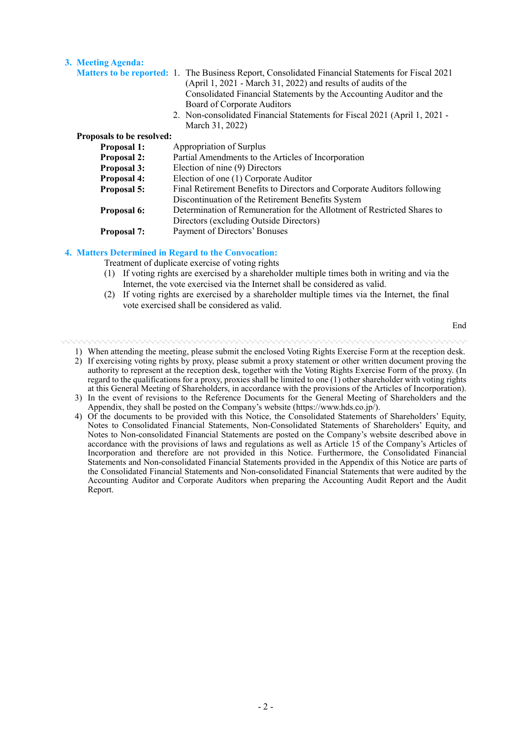#### **3. Meeting Agenda:**

|                           | <b>Matters to be reported: 1.</b> The Business Report, Consolidated Financial Statements for Fiscal 2021<br>(April 1, 2021 - March 31, 2022) and results of audits of the |
|---------------------------|---------------------------------------------------------------------------------------------------------------------------------------------------------------------------|
|                           | Consolidated Financial Statements by the Accounting Auditor and the                                                                                                       |
|                           | Board of Corporate Auditors                                                                                                                                               |
|                           | 2. Non-consolidated Financial Statements for Fiscal 2021 (April 1, 2021 -<br>March 31, 2022)                                                                              |
| Proposals to be resolved: |                                                                                                                                                                           |
| <b>Proposal 1:</b>        | Appropriation of Surplus                                                                                                                                                  |
| <b>Proposal 2:</b>        | Partial Amendments to the Articles of Incorporation                                                                                                                       |
| <b>Proposal 3:</b>        | Election of nine (9) Directors                                                                                                                                            |
| <b>Proposal 4:</b>        | Election of one (1) Corporate Auditor                                                                                                                                     |
| Proposal 5:               | Final Retirement Benefits to Directors and Corporate Auditors following                                                                                                   |
|                           | Discontinuation of the Retirement Benefits System                                                                                                                         |
| <b>Proposal 6:</b>        | Determination of Remuneration for the Allotment of Restricted Shares to                                                                                                   |
|                           | Directors (excluding Outside Directors)                                                                                                                                   |
|                           |                                                                                                                                                                           |

**Proposal 7:** Payment of Directors' Bonuses

#### **4. Matters Determined in Regard to the Convocation:**

Treatment of duplicate exercise of voting rights

- (1) If voting rights are exercised by a shareholder multiple times both in writing and via the Internet, the vote exercised via the Internet shall be considered as valid.
- (2) If voting rights are exercised by a shareholder multiple times via the Internet, the final vote exercised shall be considered as valid.

End

- 1) When attending the meeting, please submit the enclosed Voting Rights Exercise Form at the reception desk.
- 2) If exercising voting rights by proxy, please submit a proxy statement or other written document proving the authority to represent at the reception desk, together with the Voting Rights Exercise Form of the proxy. (In regard to the qualifications for a proxy, proxies shall be limited to one (1) other shareholder with voting rights at this General Meeting of Shareholders, in accordance with the provisions of the Articles of Incorporation).
- 3) In the event of revisions to the Reference Documents for the General Meeting of Shareholders and the Appendix, they shall be posted on the Company's website (https://www.hds.co.jp/).
- 4) Of the documents to be provided with this Notice, the Consolidated Statements of Shareholders' Equity, Notes to Consolidated Financial Statements, Non-Consolidated Statements of Shareholders' Equity, and Notes to Non-consolidated Financial Statements are posted on the Company's website described above in accordance with the provisions of laws and regulations as well as Article 15 of the Company's Articles of Incorporation and therefore are not provided in this Notice. Furthermore, the Consolidated Financial Statements and Non-consolidated Financial Statements provided in the Appendix of this Notice are parts of the Consolidated Financial Statements and Non-consolidated Financial Statements that were audited by the Accounting Auditor and Corporate Auditors when preparing the Accounting Audit Report and the Audit Report.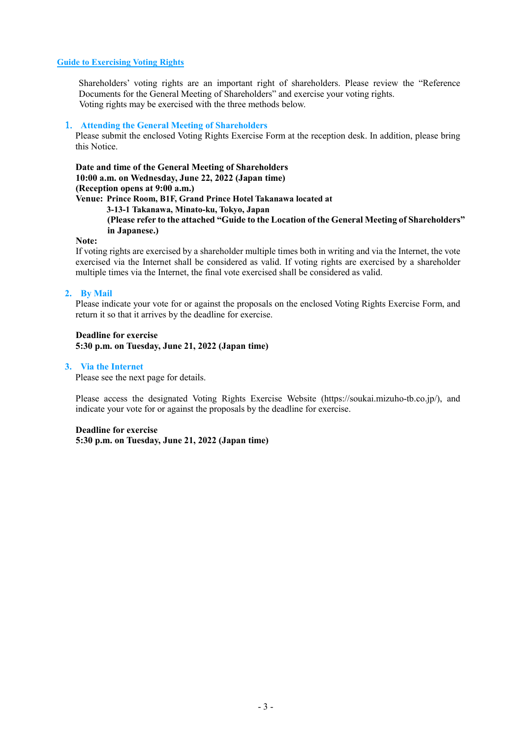#### **Guide to Exercising Voting Rights**

Shareholders' voting rights are an important right of shareholders. Please review the "Reference Documents for the General Meeting of Shareholders" and exercise your voting rights. Voting rights may be exercised with the three methods below.

#### 1. **Attending the General Meeting of Shareholders**

Please submit the enclosed Voting Rights Exercise Form at the reception desk. In addition, please bring this Notice.

**Date and time of the General Meeting of Shareholders 10:00 a.m. on Wednesday, June 22, 2022 (Japan time) (Reception opens at 9:00 a.m.) Venue: Prince Room, B1F, Grand Prince Hotel Takanawa located at 3-13-1 Takanawa, Minato-ku, Tokyo, Japan (Please refer to the attached "Guide to the Location of the General Meeting of Shareholders" in Japanese.)**

#### **Note:**

If voting rights are exercised by a shareholder multiple times both in writing and via the Internet, the vote exercised via the Internet shall be considered as valid. If voting rights are exercised by a shareholder multiple times via the Internet, the final vote exercised shall be considered as valid.

#### **2. By Mail**

Please indicate your vote for or against the proposals on the enclosed Voting Rights Exercise Form, and return it so that it arrives by the deadline for exercise.

**Deadline for exercise 5:30 p.m. on Tuesday, June 21, 2022 (Japan time)**

#### **3. Via the Internet**

Please see the next page for details.

Please access the designated Voting Rights Exercise Website (https://soukai.mizuho-tb.co.jp/), and indicate your vote for or against the proposals by the deadline for exercise.

#### **Deadline for exercise**

**5:30 p.m. on Tuesday, June 21, 2022 (Japan time)**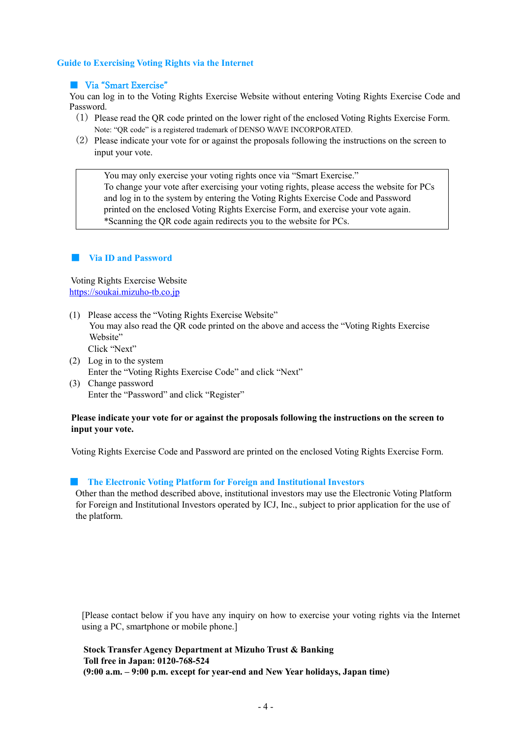#### **Guide to Exercising Voting Rights via the Internet**

#### ■ Via "Smart Exercise"

You can log in to the Voting Rights Exercise Website without entering Voting Rights Exercise Code and Password.

- (1) Please read the QR code printed on the lower right of the enclosed Voting Rights Exercise Form. Note: "QR code" is a registered trademark of DENSO WAVE INCORPORATED.
- (2) Please indicate your vote for or against the proposals following the instructions on the screen to input your vote.

You may only exercise your voting rights once via "Smart Exercise." To change your vote after exercising your voting rights, please access the website for PCs and log in to the system by entering the Voting Rights Exercise Code and Password printed on the enclosed Voting Rights Exercise Form, and exercise your vote again. \*Scanning the QR code again redirects you to the website for PCs.

#### ■ **Via ID and Password**

Voting Rights Exercise Website [https://soukai.mizuho-tb.co.jp](https://soukai.mizuho-tb.co.jp/)

- (1) Please access the "Voting Rights Exercise Website" You may also read the QR code printed on the above and access the "Voting Rights Exercise Website" Click "Next"
- (2) Log in to the system Enter the "Voting Rights Exercise Code" and click "Next"
- (3) Change password Enter the "Password" and click "Register"

#### **Please indicate your vote for or against the proposals following the instructions on the screen to input your vote.**

Voting Rights Exercise Code and Password are printed on the enclosed Voting Rights Exercise Form.

#### **EXECUTE:** The Electronic Voting Platform for Foreign and Institutional Investors

Other than the method described above, institutional investors may use the Electronic Voting Platform for Foreign and Institutional Investors operated by ICJ, Inc., subject to prior application for the use of the platform.

[Please contact below if you have any inquiry on how to exercise your voting rights via the Internet using a PC, smartphone or mobile phone.]

**Stock Transfer Agency Department at Mizuho Trust & Banking Toll free in Japan**: **0120-768-524 (9:00 a.m. – 9:00 p.m. except for year-end and New Year holidays, Japan time)**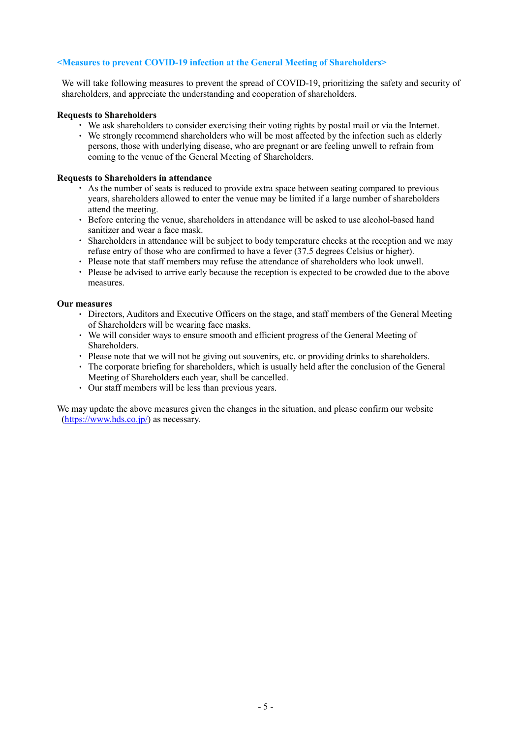#### **<Measures to prevent COVID-19 infection at the General Meeting of Shareholders>**

We will take following measures to prevent the spread of COVID-19, prioritizing the safety and security of shareholders, and appreciate the understanding and cooperation of shareholders.

#### **Requests to Shareholders**

- ・ We ask shareholders to consider exercising their voting rights by postal mail or via the Internet.
- ・ We strongly recommend shareholders who will be most affected by the infection such as elderly persons, those with underlying disease, who are pregnant or are feeling unwell to refrain from coming to the venue of the General Meeting of Shareholders.

#### **Requests to Shareholders in attendance**

- ・ As the number of seats is reduced to provide extra space between seating compared to previous years, shareholders allowed to enter the venue may be limited if a large number of shareholders attend the meeting.
- ・ Before entering the venue, shareholders in attendance will be asked to use alcohol-based hand sanitizer and wear a face mask.
- ・ Shareholders in attendance will be subject to body temperature checks at the reception and we may refuse entry of those who are confirmed to have a fever (37.5 degrees Celsius or higher).
- ・ Please note that staff members may refuse the attendance of shareholders who look unwell.
- ・ Please be advised to arrive early because the reception is expected to be crowded due to the above measures.

#### **Our measures**

- ・ Directors, Auditors and Executive Officers on the stage, and staff members of the General Meeting of Shareholders will be wearing face masks.
- ・ We will consider ways to ensure smooth and efficient progress of the General Meeting of Shareholders.
- ・ Please note that we will not be giving out souvenirs, etc. or providing drinks to shareholders.
- ・ The corporate briefing for shareholders, which is usually held after the conclusion of the General Meeting of Shareholders each year, shall be cancelled.
- ・ Our staff members will be less than previous years.

We may update the above measures given the changes in the situation, and please confirm our website [\(https://www.hds.co.jp/\)](https://www.hds.co.jp/) as necessary.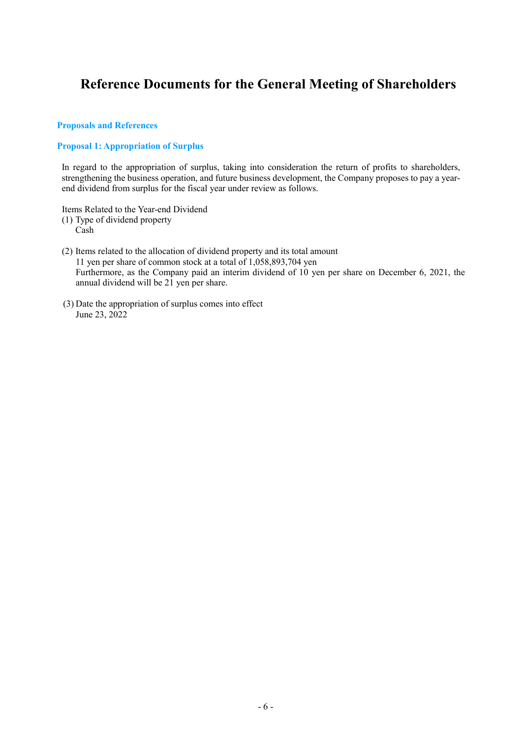# **Reference Documents for the General Meeting of Shareholders**

#### **Proposals and References**

### **Proposal 1: Appropriation of Surplus**

In regard to the appropriation of surplus, taking into consideration the return of profits to shareholders, strengthening the business operation, and future business development, the Company proposes to pay a yearend dividend from surplus for the fiscal year under review as follows.

Items Related to the Year-end Dividend

(1) Type of dividend property

Cash

- (2) Items related to the allocation of dividend property and its total amount 11 yen per share of common stock at a total of 1,058,893,704 yen Furthermore, as the Company paid an interim dividend of 10 yen per share on December 6, 2021, the annual dividend will be 21 yen per share.
- (3) Date the appropriation of surplus comes into effect June 23, 2022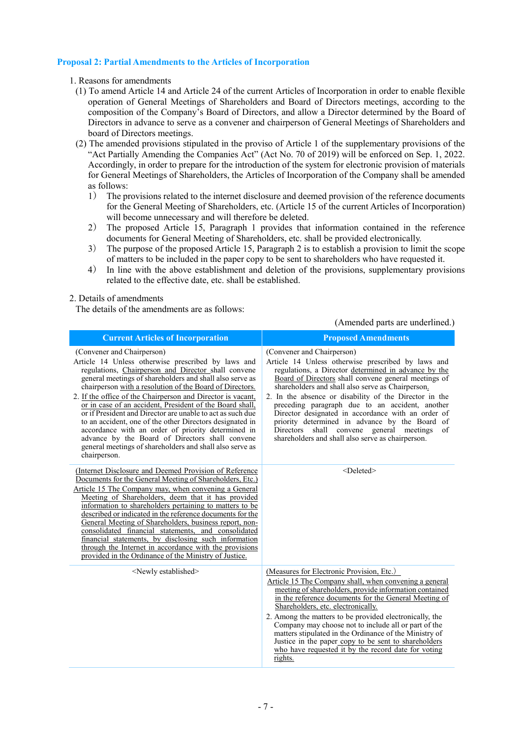#### **Proposal 2: Partial Amendments to the Articles of Incorporation**

#### 1. Reasons for amendments

- (1) To amend Article 14 and Article 24 of the current Articles of Incorporation in order to enable flexible operation of General Meetings of Shareholders and Board of Directors meetings, according to the composition of the Company's Board of Directors, and allow a Director determined by the Board of Directors in advance to serve as a convener and chairperson of General Meetings of Shareholders and board of Directors meetings.
- (2) The amended provisions stipulated in the proviso of Article 1 of the supplementary provisions of the "Act Partially Amending the Companies Act" (Act No. 70 of 2019) will be enforced on Sep. 1, 2022. Accordingly, in order to prepare for the introduction of the system for electronic provision of materials for General Meetings of Shareholders, the Articles of Incorporation of the Company shall be amended as follows:
	- 1) The provisions related to the internet disclosure and deemed provision of the reference documents for the General Meeting of Shareholders, etc. (Article 15 of the current Articles of Incorporation) will become unnecessary and will therefore be deleted.
	- 2) The proposed Article 15, Paragraph 1 provides that information contained in the reference documents for General Meeting of Shareholders, etc. shall be provided electronically.
	- 3) The purpose of the proposed Article 15, Paragraph 2 is to establish a provision to limit the scope of matters to be included in the paper copy to be sent to shareholders who have requested it.
	- 4) In line with the above establishment and deletion of the provisions, supplementary provisions related to the effective date, etc. shall be established.

(Amended parts are underlined.)

#### 2. Details of amendments

The details of the amendments are as follows:

#### **Current Articles of Incorporation Proposed Amendments** (Convener and Chairperson) Article 14 Unless otherwise prescribed by laws and regulations, Chairperson and Director shall convene general meetings of shareholders and shall also serve as chairperson with a resolution of the Board of Directors. 2. If the office of the Chairperson and Director is vacant, or in case of an accident, President of the Board shall, or if President and Director are unable to act as such due to an accident, one of the other Directors designated in accordance with an order of priority determined in advance by the Board of Directors shall convene general meetings of shareholders and shall also serve as chairperson. (Convener and Chairperson) Article 14 Unless otherwise prescribed by laws and regulations, a Director determined in advance by the Board of Directors shall convene general meetings of shareholders and shall also serve as Chairperson. 2. In the absence or disability of the Director in the preceding paragraph due to an accident, another Director designated in accordance with an order of priority determined in advance by the Board of<br>Directors, shall convene general meetings of Directors shall convene general meetings shareholders and shall also serve as chairperson. (Internet Disclosure and Deemed Provision of Reference Documents for the General Meeting of Shareholders, Etc.) Article 15 The Company may, when convening a General Meeting of Shareholders, deem that it has provided information to shareholders pertaining to matters to be described or indicated in the reference documents for the General Meeting of Shareholders, business report, nonconsolidated financial statements, and consolidated financial statements, by disclosing such information through the Internet in accordance with the provisions provided in the Ordinance of the Ministry of Justice. <Deleted> <Newly established> (Measures for Electronic Provision, Etc.) Article 15 The Company shall, when convening a general meeting of shareholders, provide information contained in the reference documents for the General Meeting of Shareholders, etc. electronically. 2. Among the matters to be provided electronically, the Company may choose not to include all or part of the matters stipulated in the Ordinance of the Ministry of Justice in the paper copy to be sent to shareholders who have requested it by the record date for voting rights.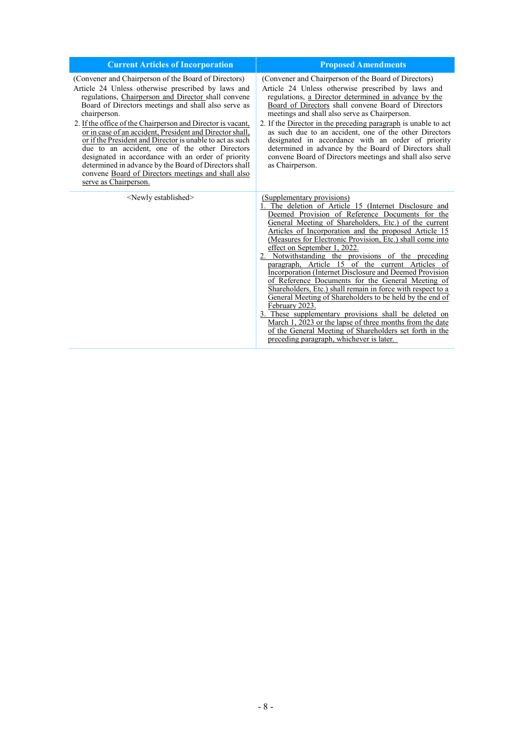| <b>Current Articles of Incorporation</b>                                                                                                                                                                                                                                                                                                                                                                                                                                                                                                                                                                                                                                         | <b>Proposed Amendments</b>                                                                                                                                                                                                                                                                                                                                                                                                                                                                                                                                                                                                                                                                                                                                                                                                                                                                                                                                |
|----------------------------------------------------------------------------------------------------------------------------------------------------------------------------------------------------------------------------------------------------------------------------------------------------------------------------------------------------------------------------------------------------------------------------------------------------------------------------------------------------------------------------------------------------------------------------------------------------------------------------------------------------------------------------------|-----------------------------------------------------------------------------------------------------------------------------------------------------------------------------------------------------------------------------------------------------------------------------------------------------------------------------------------------------------------------------------------------------------------------------------------------------------------------------------------------------------------------------------------------------------------------------------------------------------------------------------------------------------------------------------------------------------------------------------------------------------------------------------------------------------------------------------------------------------------------------------------------------------------------------------------------------------|
| (Convener and Chairperson of the Board of Directors)<br>Article 24 Unless otherwise prescribed by laws and<br>regulations, Chairperson and Director shall convene<br>Board of Directors meetings and shall also serve as<br>chairperson.<br>2. If the office of the Chairperson and Director is vacant,<br>or in case of an accident, President and Director shall,<br>or if the President and Director is unable to act as such<br>due to an accident, one of the other Directors<br>designated in accordance with an order of priority<br>determined in advance by the Board of Directors shall<br>convene Board of Directors meetings and shall also<br>serve as Chairperson. | (Convener and Chairperson of the Board of Directors)<br>Article 24 Unless otherwise prescribed by laws and<br>regulations, a Director determined in advance by the<br>Board of Directors shall convene Board of Directors<br>meetings and shall also serve as Chairperson.<br>2. If the Director in the preceding paragraph is unable to act<br>as such due to an accident, one of the other Directors<br>designated in accordance with an order of priority<br>determined in advance by the Board of Directors shall<br>convene Board of Directors meetings and shall also serve<br>as Chairperson.                                                                                                                                                                                                                                                                                                                                                      |
| <newly established=""></newly>                                                                                                                                                                                                                                                                                                                                                                                                                                                                                                                                                                                                                                                   | (Supplementary provisions)<br>1. The deletion of Article 15 (Internet Disclosure and<br>Deemed Provision of Reference Documents for the<br>General Meeting of Shareholders, Etc.) of the current<br>Articles of Incorporation and the proposed Article 15<br>(Measures for Electronic Provision, Etc.) shall come into<br>effect on September 1, 2022.<br>2. Notwithstanding the provisions of the preceding<br>paragraph, Article 15 of the current Articles of<br>Incorporation (Internet Disclosure and Deemed Provision<br>of Reference Documents for the General Meeting of<br>Shareholders, Etc.) shall remain in force with respect to a<br>General Meeting of Shareholders to be held by the end of<br>February 2023.<br>3. These supplementary provisions shall be deleted on<br>March 1, 2023 or the lapse of three months from the date<br>of the General Meeting of Shareholders set forth in the<br>preceding paragraph, whichever is later. |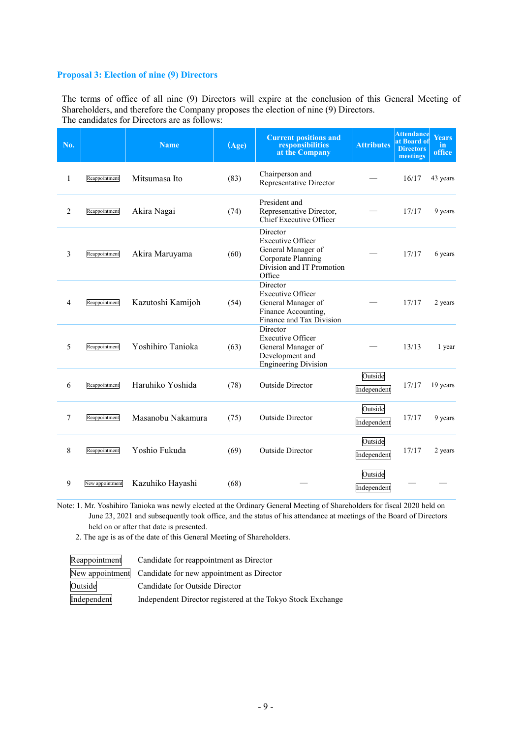#### **Proposal 3: Election of nine (9) Directors**

The terms of office of all nine (9) Directors will expire at the conclusion of this General Meeting of Shareholders, and therefore the Company proposes the election of nine (9) Directors. The candidates for Directors are as follows:

| No. |                 | <b>Name</b>       | (Age) | <b>Current positions and</b><br>responsibilities<br>at the Company                                                      | <b>Attributes</b>      | <b>Attendance</b><br>at Board of<br><b>Directors</b><br>meetings | <b>Years</b><br>in.<br>office |
|-----|-----------------|-------------------|-------|-------------------------------------------------------------------------------------------------------------------------|------------------------|------------------------------------------------------------------|-------------------------------|
| 1   | Reappointment   | Mitsumasa Ito     | (83)  | Chairperson and<br>Representative Director                                                                              |                        | 16/17                                                            | 43 years                      |
| 2   | Reappointment   | Akira Nagai       | (74)  | President and<br>Representative Director,<br>Chief Executive Officer                                                    |                        | 17/17                                                            | 9 years                       |
| 3   | Reappointment   | Akira Maruyama    | (60)  | Director<br><b>Executive Officer</b><br>General Manager of<br>Corporate Planning<br>Division and IT Promotion<br>Office |                        | 17/17                                                            | 6 years                       |
| 4   | Reappointment   | Kazutoshi Kamijoh | (54)  | Director<br><b>Executive Officer</b><br>General Manager of<br>Finance Accounting,<br>Finance and Tax Division           |                        | 17/17                                                            | 2 years                       |
| 5   | Reappointment   | Yoshihiro Tanioka | (63)  | Director<br><b>Executive Officer</b><br>General Manager of<br>Development and<br><b>Engineering Division</b>            |                        | 13/13                                                            | 1 year                        |
| 6   | Reappointment   | Haruhiko Yoshida  | (78)  | <b>Outside Director</b>                                                                                                 | Outside<br>Independent | 17/17                                                            | 19 years                      |
| 7   | Reappointment   | Masanobu Nakamura | (75)  | <b>Outside Director</b>                                                                                                 | Outside<br>Independent | 17/17                                                            | 9 years                       |
| 8   | Reappointment   | Yoshio Fukuda     | (69)  | Outside Director                                                                                                        | Outside<br>Independent | 17/17                                                            | 2 years                       |
| 9   | New appointment | Kazuhiko Hayashi  | (68)  |                                                                                                                         | Outside<br>Independent |                                                                  |                               |

Note: 1. Mr. Yoshihiro Tanioka was newly elected at the Ordinary General Meeting of Shareholders for fiscal 2020 held on June 23, 2021 and subsequently took office, and the status of his attendance at meetings of the Board of Directors held on or after that date is presented.

2. The age is as of the date of this General Meeting of Shareholders.

| Reappointment | Candidate for reappointment as Director                     |
|---------------|-------------------------------------------------------------|
|               | New appointment Candidate for new appointment as Director   |
| Outside       | Candidate for Outside Director                              |
| Independent   | Independent Director registered at the Tokyo Stock Exchange |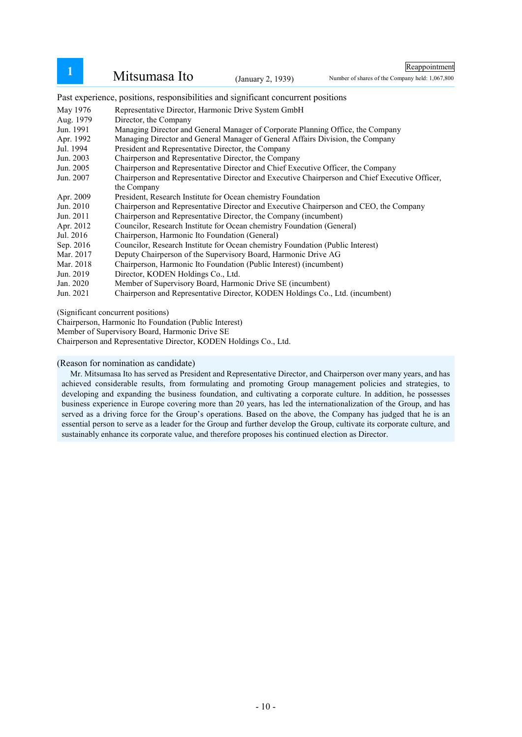| Mitsumasa Ito | (January 2, 1939) |
|---------------|-------------------|
|               |                   |

Reappointment

Number of shares of the Company held: 1,067,800

Past experience, positions, responsibilities and significant concurrent positions

May 1976 Aug. 1979 Jun. 1991 Apr. 1992 Jul. 1994 Jun. 2003 Jun. 2005 Jun. 2007 Apr. 2009 Jun. 2010 Jun. 2011 Apr. 2012 Jul. 2016 Sep. 2016 Mar. 2017 Mar. 2018 Jun. 2019 Jan. 2020<br>Jun. 2021 Representative Director, Harmonic Drive System GmbH Director, the Company Managing Director and General Manager of Corporate Planning Office, the Company Managing Director and General Manager of General Affairs Division, the Company President and Representative Director, the Company Chairperson and Representative Director, the Company Chairperson and Representative Director and Chief Executive Officer, the Company Chairperson and Representative Director and Executive Chairperson and Chief Executive Officer, the Company President, Research Institute for Ocean chemistry Foundation Chairperson and Representative Director and Executive Chairperson and CEO, the Company Chairperson and Representative Director, the Company (incumbent) Councilor, Research Institute for Ocean chemistry Foundation (General) Chairperson, Harmonic Ito Foundation (General) Councilor, Research Institute for Ocean chemistry Foundation (Public Interest) Deputy Chairperson of the Supervisory Board, Harmonic Drive AG Chairperson, Harmonic Ito Foundation (Public Interest) (incumbent) Director, KODEN Holdings Co., Ltd. Member of Supervisory Board, Harmonic Drive SE (incumbent) Chairperson and Representative Director, KODEN Holdings Co., Ltd. (incumbent)

(Significant concurrent positions)

Chairperson, Harmonic Ito Foundation (Public Interest)

Member of Supervisory Board, Harmonic Drive SE

Chairperson and Representative Director, KODEN Holdings Co., Ltd.

(Reason for nomination as candidate)

Mr. Mitsumasa Ito has served as President and Representative Director, and Chairperson over many years, and has achieved considerable results, from formulating and promoting Group management policies and strategies, to developing and expanding the business foundation, and cultivating a corporate culture. In addition, he possesses business experience in Europe covering more than 20 years, has led the internationalization of the Group, and has served as a driving force for the Group's operations. Based on the above, the Company has judged that he is an essential person to serve as a leader for the Group and further develop the Group, cultivate its corporate culture, and sustainably enhance its corporate value, and therefore proposes his continued election as Director.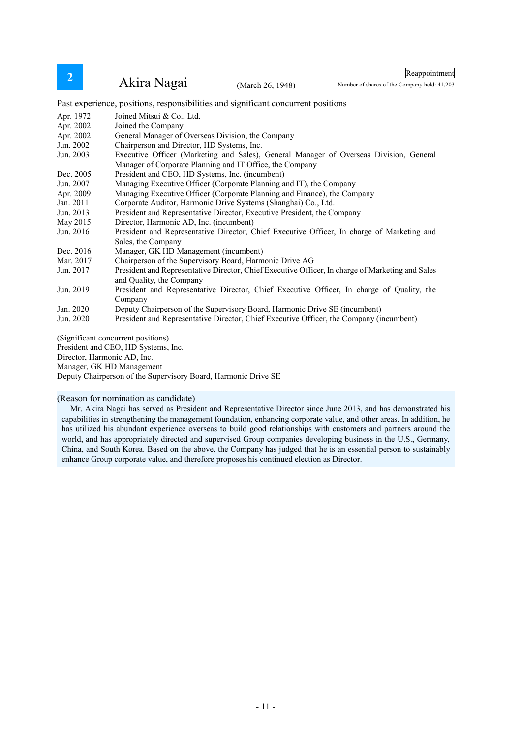Reappointment

Number of shares of the Company held: 41,203

Past experience, positions, responsibilities and significant concurrent positions

| Apr. 1972 | Joined Mitsui & Co., Ltd.                                                                        |
|-----------|--------------------------------------------------------------------------------------------------|
| Apr. 2002 | Joined the Company                                                                               |
| Apr. 2002 | General Manager of Overseas Division, the Company                                                |
| Jun. 2002 | Chairperson and Director, HD Systems, Inc.                                                       |
| Jun. 2003 | Executive Officer (Marketing and Sales), General Manager of Overseas Division, General           |
|           | Manager of Corporate Planning and IT Office, the Company                                         |
| Dec. 2005 | President and CEO, HD Systems, Inc. (incumbent)                                                  |
| Jun. 2007 | Managing Executive Officer (Corporate Planning and IT), the Company                              |
| Apr. 2009 | Managing Executive Officer (Corporate Planning and Finance), the Company                         |
| Jan. 2011 | Corporate Auditor, Harmonic Drive Systems (Shanghai) Co., Ltd.                                   |
| Jun. 2013 | President and Representative Director, Executive President, the Company                          |
| May 2015  | Director, Harmonic AD, Inc. (incumbent)                                                          |
| Jun. 2016 | President and Representative Director, Chief Executive Officer, In charge of Marketing and       |
|           | Sales, the Company                                                                               |
| Dec. 2016 | Manager, GK HD Management (incumbent)                                                            |
| Mar. 2017 | Chairperson of the Supervisory Board, Harmonic Drive AG                                          |
| Jun. 2017 | President and Representative Director, Chief Executive Officer, In charge of Marketing and Sales |
|           | and Quality, the Company                                                                         |
| Jun. 2019 | President and Representative Director, Chief Executive Officer, In charge of Quality, the        |
|           | Company                                                                                          |
| Jan. 2020 | Deputy Chairperson of the Supervisory Board, Harmonic Drive SE (incumbent)                       |
| Jun. 2020 | President and Representative Director, Chief Executive Officer, the Company (incumbent)          |
|           |                                                                                                  |

(Significant concurrent positions)

President and CEO, HD Systems, Inc.

Director, Harmonic AD, Inc.

Manager, GK HD Management

Deputy Chairperson of the Supervisory Board, Harmonic Drive SE

### (Reason for nomination as candidate)

Mr. Akira Nagai has served as President and Representative Director since June 2013, and has demonstrated his capabilities in strengthening the management foundation, enhancing corporate value, and other areas. In addition, he has utilized his abundant experience overseas to build good relationships with customers and partners around the world, and has appropriately directed and supervised Group companies developing business in the U.S., Germany, China, and South Korea. Based on the above, the Company has judged that he is an essential person to sustainably enhance Group corporate value, and therefore proposes his continued election as Director.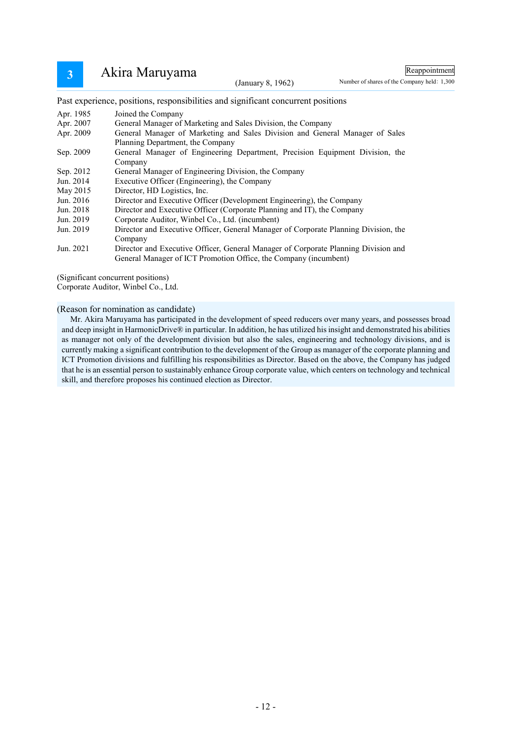# 3 Akira Maruyama (January 8, 1962)

Reappointment

Number of shares of the Company held: 1,300

Past experience, positions, responsibilities and significant concurrent positions

| Apr. 1985 | Joined the Company                                                                  |
|-----------|-------------------------------------------------------------------------------------|
| Apr. 2007 | General Manager of Marketing and Sales Division, the Company                        |
| Apr. 2009 | General Manager of Marketing and Sales Division and General Manager of Sales        |
|           | Planning Department, the Company                                                    |
| Sep. 2009 | General Manager of Engineering Department, Precision Equipment Division, the        |
|           | Company                                                                             |
| Sep. 2012 | General Manager of Engineering Division, the Company                                |
| Jun. 2014 | Executive Officer (Engineering), the Company                                        |
| May 2015  | Director, HD Logistics, Inc.                                                        |
| Jun. 2016 | Director and Executive Officer (Development Engineering), the Company               |
| Jun. 2018 | Director and Executive Officer (Corporate Planning and IT), the Company             |
| Jun. 2019 | Corporate Auditor, Winbel Co., Ltd. (incumbent)                                     |
| Jun. 2019 | Director and Executive Officer, General Manager of Corporate Planning Division, the |
|           | Company                                                                             |
| Jun. 2021 | Director and Executive Officer, General Manager of Corporate Planning Division and  |
|           | General Manager of ICT Promotion Office, the Company (incumbent)                    |

(Significant concurrent positions)

Corporate Auditor, Winbel Co., Ltd.

(Reason for nomination as candidate)

Mr. Akira Maruyama has participated in the development of speed reducers over many years, and possesses broad and deep insight in HarmonicDrive® in particular. In addition, he has utilized his insight and demonstrated his abilities as manager not only of the development division but also the sales, engineering and technology divisions, and is currently making a significant contribution to the development of the Group as manager of the corporate planning and ICT Promotion divisions and fulfilling his responsibilities as Director. Based on the above, the Company has judged that he is an essential person to sustainably enhance Group corporate value, which centers on technology and technical skill, and therefore proposes his continued election as Director.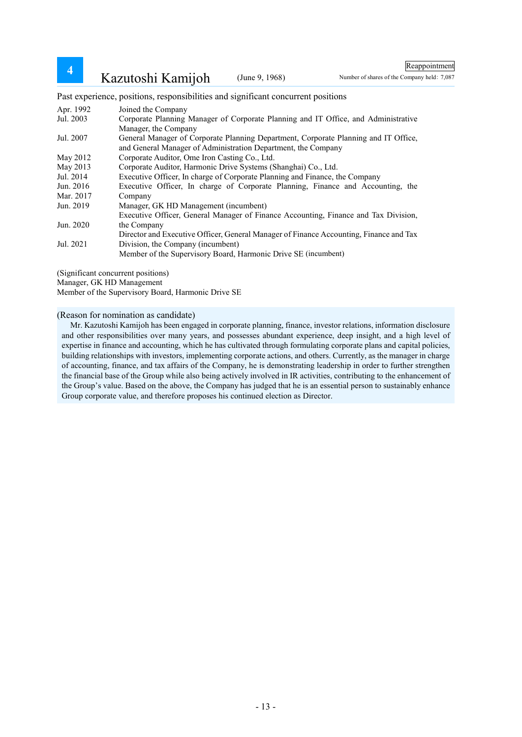Reappointment

Number of shares of the Company held: 7,087

Past experience, positions, responsibilities and significant concurrent positions

| Apr. 1992 | Joined the Company                                                                     |
|-----------|----------------------------------------------------------------------------------------|
| Jul. 2003 | Corporate Planning Manager of Corporate Planning and IT Office, and Administrative     |
|           | Manager, the Company                                                                   |
| Jul. 2007 | General Manager of Corporate Planning Department, Corporate Planning and IT Office,    |
|           | and General Manager of Administration Department, the Company                          |
| May 2012  | Corporate Auditor, Ome Iron Casting Co., Ltd.                                          |
| May 2013  | Corporate Auditor, Harmonic Drive Systems (Shanghai) Co., Ltd.                         |
| Jul. 2014 | Executive Officer, In charge of Corporate Planning and Finance, the Company            |
| Jun. 2016 | Executive Officer, In charge of Corporate Planning, Finance and Accounting, the        |
| Mar. 2017 | Company                                                                                |
| Jun. 2019 | Manager, GK HD Management (incumbent)                                                  |
|           | Executive Officer, General Manager of Finance Accounting, Finance and Tax Division,    |
| Jun. 2020 | the Company                                                                            |
|           | Director and Executive Officer, General Manager of Finance Accounting, Finance and Tax |
| Jul. 2021 | Division, the Company (incumbent)                                                      |
|           | Member of the Supervisory Board, Harmonic Drive SE (incumbent)                         |

(Significant concurrent positions)

Manager, GK HD Management

Member of the Supervisory Board, Harmonic Drive SE

(Reason for nomination as candidate)

Mr. Kazutoshi Kamijoh has been engaged in corporate planning, finance, investor relations, information disclosure and other responsibilities over many years, and possesses abundant experience, deep insight, and a high level of expertise in finance and accounting, which he has cultivated through formulating corporate plans and capital policies, building relationships with investors, implementing corporate actions, and others. Currently, as the manager in charge of accounting, finance, and tax affairs of the Company, he is demonstrating leadership in order to further strengthen the financial base of the Group while also being actively involved in IR activities, contributing to the enhancement of the Group's value. Based on the above, the Company has judged that he is an essential person to sustainably enhance Group corporate value, and therefore proposes his continued election as Director.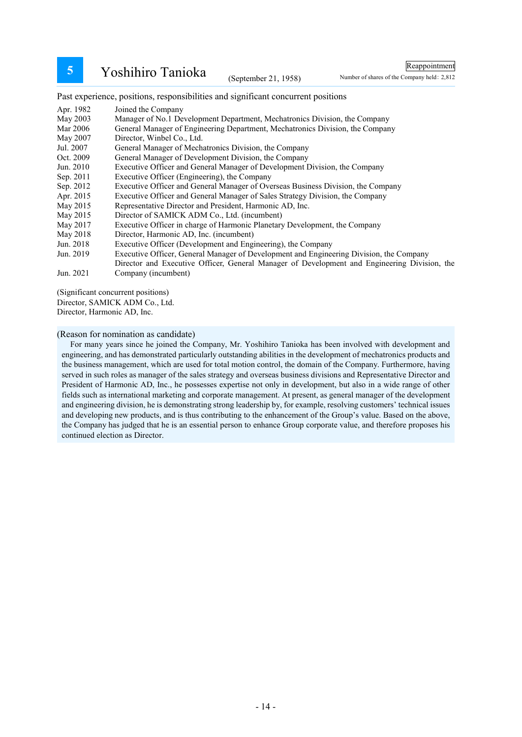**5** Yoshihiro Tanioka (September 21, 1958)

Reappointment

Number of shares of the Company held: 2,812

Past experience, positions, responsibilities and significant concurrent positions

| Apr. 1982 | Joined the Company                                                                           |
|-----------|----------------------------------------------------------------------------------------------|
| May 2003  | Manager of No.1 Development Department, Mechatronics Division, the Company                   |
| Mar 2006  | General Manager of Engineering Department, Mechatronics Division, the Company                |
| May 2007  | Director, Winbel Co., Ltd.                                                                   |
| Jul. 2007 | General Manager of Mechatronics Division, the Company                                        |
| Oct. 2009 | General Manager of Development Division, the Company                                         |
| Jun. 2010 | Executive Officer and General Manager of Development Division, the Company                   |
| Sep. 2011 | Executive Officer (Engineering), the Company                                                 |
| Sep. 2012 | Executive Officer and General Manager of Overseas Business Division, the Company             |
| Apr. 2015 | Executive Officer and General Manager of Sales Strategy Division, the Company                |
| May 2015  | Representative Director and President, Harmonic AD, Inc.                                     |
| May 2015  | Director of SAMICK ADM Co., Ltd. (incumbent)                                                 |
| May 2017  | Executive Officer in charge of Harmonic Planetary Development, the Company                   |
| May 2018  | Director, Harmonic AD, Inc. (incumbent)                                                      |
| Jun. 2018 | Executive Officer (Development and Engineering), the Company                                 |
| Jun. 2019 | Executive Officer, General Manager of Development and Engineering Division, the Company      |
|           | Director and Executive Officer, General Manager of Development and Engineering Division, the |
| Jun. 2021 | Company (incumbent)                                                                          |
|           |                                                                                              |

(Significant concurrent positions)

Director, SAMICK ADM Co., Ltd.

Director, Harmonic AD, Inc.

(Reason for nomination as candidate)

For many years since he joined the Company, Mr. Yoshihiro Tanioka has been involved with development and engineering, and has demonstrated particularly outstanding abilities in the development of mechatronics products and the business management, which are used for total motion control, the domain of the Company. Furthermore, having served in such roles as manager of the sales strategy and overseas business divisions and Representative Director and President of Harmonic AD, Inc., he possesses expertise not only in development, but also in a wide range of other fields such as international marketing and corporate management. At present, as general manager of the development and engineering division, he is demonstrating strong leadership by, for example, resolving customers' technical issues and developing new products, and is thus contributing to the enhancement of the Group's value. Based on the above, the Company has judged that he is an essential person to enhance Group corporate value, and therefore proposes his continued election as Director.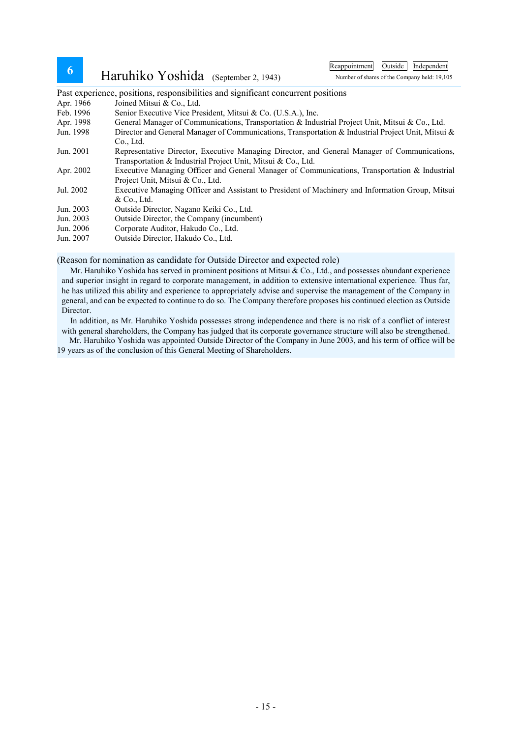| 6 |  | Haruhiko Yoshida (September 2, 1943) |
|---|--|--------------------------------------|
|---|--|--------------------------------------|

Reappointment Outside Independent

Number of shares of the Company held: 19,105

Past experience, positions, responsibilities and significant concurrent positions

- Apr. 1966 Joined Mitsui & Co., Ltd.
- Feb. 1996 Senior Executive Vice President, Mitsui & Co. (U.S.A.), Inc.
- Apr. 1998 General Manager of Communications, Transportation & Industrial Project Unit, Mitsui & Co., Ltd.
- Jun. 1998 Director and General Manager of Communications, Transportation & Industrial Project Unit, Mitsui & Co., Ltd.
- Jun. 2001 Representative Director, Executive Managing Director, and General Manager of Communications, Transportation & Industrial Project Unit, Mitsui & Co., Ltd.
- Apr. 2002 Executive Managing Officer and General Manager of Communications, Transportation & Industrial Project Unit, Mitsui & Co., Ltd.
- Jul. 2002 Executive Managing Officer and Assistant to President of Machinery and Information Group, Mitsui & Co., Ltd.
- Jun. 2003 Outside Director, Nagano Keiki Co., Ltd.
- Jun. 2003 Outside Director, the Company (incumbent)
- Jun. 2006 Corporate Auditor, Hakudo Co., Ltd.
- Jun. 2007 Outside Director, Hakudo Co., Ltd.

#### (Reason for nomination as candidate for Outside Director and expected role)

Mr. Haruhiko Yoshida has served in prominent positions at Mitsui & Co., Ltd., and possesses abundant experience and superior insight in regard to corporate management, in addition to extensive international experience. Thus far, he has utilized this ability and experience to appropriately advise and supervise the management of the Company in general, and can be expected to continue to do so. The Company therefore proposes his continued election as Outside Director.

In addition, as Mr. Haruhiko Yoshida possesses strong independence and there is no risk of a conflict of interest with general shareholders, the Company has judged that its corporate governance structure will also be strengthened.

Mr. Haruhiko Yoshida was appointed Outside Director of the Company in June 2003, and his term of office will be 19 years as of the conclusion of this General Meeting of Shareholders.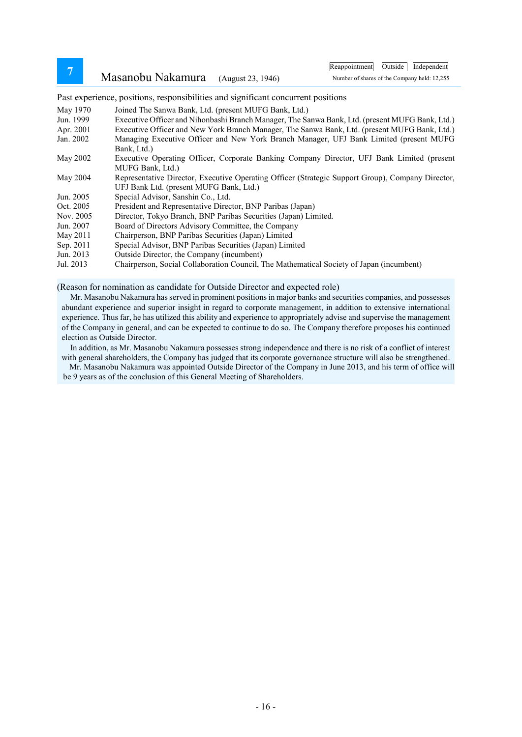**<sup>7</sup>** Masanobu Nakamura (August 23, 1946)

Reappointment Outside Independent

Number of shares of the Company held: 12,255

Past experience, positions, responsibilities and significant concurrent positions

- May 1970 Joined The Sanwa Bank, Ltd. (present MUFG Bank, Ltd.)
- Jun. 1999 Executive Officer and Nihonbashi Branch Manager, The Sanwa Bank, Ltd. (present MUFG Bank, Ltd.)
- Apr. 2001 Executive Officer and New York Branch Manager, The Sanwa Bank, Ltd. (present MUFG Bank, Ltd.)
- Jan. 2002 Managing Executive Officer and New York Branch Manager, UFJ Bank Limited (present MUFG Bank, Ltd.)
- May 2002 Executive Operating Officer, Corporate Banking Company Director, UFJ Bank Limited (present MUFG Bank, Ltd.)
- May 2004 Representative Director, Executive Operating Officer (Strategic Support Group), Company Director, UFJ Bank Ltd. (present MUFG Bank, Ltd.)
- Jun. 2005 Special Advisor, Sanshin Co., Ltd.
- Oct. 2005 President and Representative Director, BNP Paribas (Japan)
- Nov. 2005 Director, Tokyo Branch, BNP Paribas Securities (Japan) Limited.
- Jun. 2007 Board of Directors Advisory Committee, the Company
- May 2011 Chairperson, BNP Paribas Securities (Japan) Limited
- Sep. 2011 Special Advisor, BNP Paribas Securities (Japan) Limited
- Jun. 2013 Outside Director, the Company (incumbent)

Jul. 2013 Chairperson, Social Collaboration Council, The Mathematical Society of Japan (incumbent)

(Reason for nomination as candidate for Outside Director and expected role)

Mr. Masanobu Nakamura has served in prominent positions in major banks and securities companies, and possesses abundant experience and superior insight in regard to corporate management, in addition to extensive international experience. Thus far, he has utilized this ability and experience to appropriately advise and supervise the management of the Company in general, and can be expected to continue to do so. The Company therefore proposes his continued election as Outside Director.

In addition, as Mr. Masanobu Nakamura possesses strong independence and there is no risk of a conflict of interest with general shareholders, the Company has judged that its corporate governance structure will also be strengthened.

Mr. Masanobu Nakamura was appointed Outside Director of the Company in June 2013, and his term of office will be 9 years as of the conclusion of this General Meeting of Shareholders.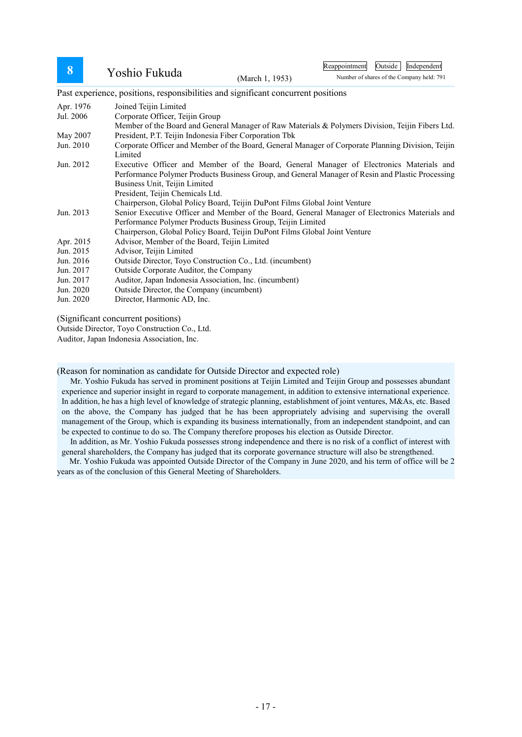# 8 Yoshio Fukuda (March 1, 1953)

Reappointment Outside Independent

Number of shares of the Company held: 791

Past experience, positions, responsibilities and significant concurrent positions

| Apr. 1976 | Joined Teijin Limited                                                                             |
|-----------|---------------------------------------------------------------------------------------------------|
| Jul. 2006 | Corporate Officer, Teijin Group                                                                   |
|           | Member of the Board and General Manager of Raw Materials & Polymers Division, Teijin Fibers Ltd.  |
| May 2007  | President, P.T. Teijin Indonesia Fiber Corporation Tbk                                            |
| Jun. 2010 | Corporate Officer and Member of the Board, General Manager of Corporate Planning Division, Teijin |
|           | Limited                                                                                           |
| Jun. 2012 | Executive Officer and Member of the Board, General Manager of Electronics Materials and           |
|           | Performance Polymer Products Business Group, and General Manager of Resin and Plastic Processing  |
|           | Business Unit, Teijin Limited                                                                     |
|           | President, Teijin Chemicals Ltd.                                                                  |
|           | Chairperson, Global Policy Board, Teijin DuPont Films Global Joint Venture                        |
| Jun. 2013 | Senior Executive Officer and Member of the Board, General Manager of Electronics Materials and    |
|           | Performance Polymer Products Business Group, Teijin Limited                                       |
|           | Chairperson, Global Policy Board, Teijin DuPont Films Global Joint Venture                        |
| Apr. 2015 | Advisor, Member of the Board, Teijin Limited                                                      |
| Jun. 2015 | Advisor, Teijin Limited                                                                           |
| Jun. 2016 | Outside Director, Toyo Construction Co., Ltd. (incumbent)                                         |
| Jun. 2017 | Outside Corporate Auditor, the Company                                                            |
| Jun. 2017 | Auditor, Japan Indonesia Association, Inc. (incumbent)                                            |
| Jun. 2020 | Outside Director, the Company (incumbent)                                                         |
| Jun. 2020 | Director, Harmonic AD, Inc.                                                                       |
|           |                                                                                                   |

(Significant concurrent positions)

Outside Director, Toyo Construction Co., Ltd.

Auditor, Japan Indonesia Association, Inc.

(Reason for nomination as candidate for Outside Director and expected role)

Mr. Yoshio Fukuda has served in prominent positions at Teijin Limited and Teijin Group and possesses abundant experience and superior insight in regard to corporate management, in addition to extensive international experience. In addition, he has a high level of knowledge of strategic planning, establishment of joint ventures, M&As, etc. Based on the above, the Company has judged that he has been appropriately advising and supervising the overall management of the Group, which is expanding its business internationally, from an independent standpoint, and can be expected to continue to do so. The Company therefore proposes his election as Outside Director.

In addition, as Mr. Yoshio Fukuda possesses strong independence and there is no risk of a conflict of interest with general shareholders, the Company has judged that its corporate governance structure will also be strengthened.

Mr. Yoshio Fukuda was appointed Outside Director of the Company in June 2020, and his term of office will be 2 years as of the conclusion of this General Meeting of Shareholders.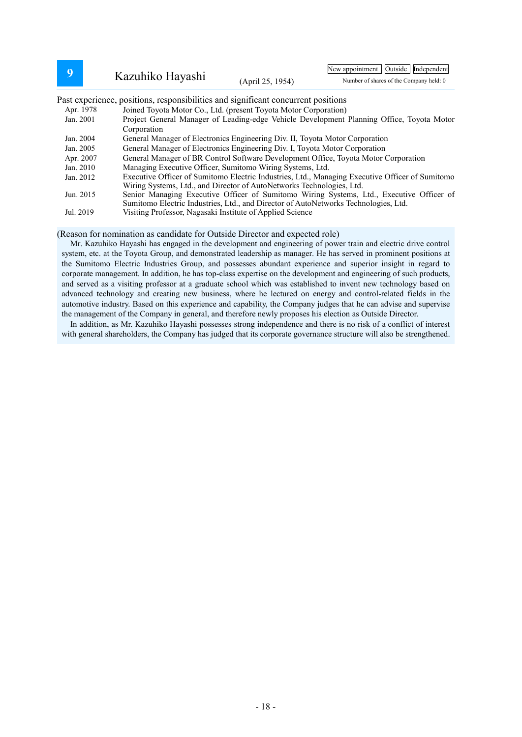| 9         |                                                                                                                                                                                       | New appointment   Outside   Independent |                                                                                           |  |  |
|-----------|---------------------------------------------------------------------------------------------------------------------------------------------------------------------------------------|-----------------------------------------|-------------------------------------------------------------------------------------------|--|--|
|           | Kazuhiko Hayashi                                                                                                                                                                      | (April 25, 1954)                        | Number of shares of the Company held: 0                                                   |  |  |
|           | Past experience, positions, responsibilities and significant concurrent positions                                                                                                     |                                         |                                                                                           |  |  |
| Apr. 1978 | Joined Toyota Motor Co., Ltd. (present Toyota Motor Corporation)                                                                                                                      |                                         |                                                                                           |  |  |
| Jan. 2001 | Corporation                                                                                                                                                                           |                                         | Project General Manager of Leading-edge Vehicle Development Planning Office, Toyota Motor |  |  |
| Jan. 2004 | General Manager of Electronics Engineering Div. II, Toyota Motor Corporation                                                                                                          |                                         |                                                                                           |  |  |
|           | General Manager of Electronics Engineering Div. I, Toyota Motor Corporation<br>Jan. 2005                                                                                              |                                         |                                                                                           |  |  |
|           | General Manager of BR Control Software Development Office, Toyota Motor Corporation<br>Apr. 2007                                                                                      |                                         |                                                                                           |  |  |
|           | Managing Executive Officer, Sumitomo Wiring Systems, Ltd.<br>Jan. 2010                                                                                                                |                                         |                                                                                           |  |  |
|           | Executive Officer of Sumitomo Electric Industries, Ltd., Managing Executive Officer of Sumitomo<br>Jan. 2012<br>Wiring Systems, Ltd., and Director of AutoNetworks Technologies, Ltd. |                                         |                                                                                           |  |  |
| Jun. 2015 |                                                                                                                                                                                       |                                         | Senior Managing Executive Officer of Sumitomo Wiring Systems, Ltd., Executive Officer of  |  |  |
|           | Sumitomo Electric Industries, Ltd., and Director of AutoNetworks Technologies, Ltd.                                                                                                   |                                         |                                                                                           |  |  |
| Jul. 2019 | Visiting Professor, Nagasaki Institute of Applied Science                                                                                                                             |                                         |                                                                                           |  |  |

#### (Reason for nomination as candidate for Outside Director and expected role)

Mr. Kazuhiko Hayashi has engaged in the development and engineering of power train and electric drive control system, etc. at the Toyota Group, and demonstrated leadership as manager. He has served in prominent positions at the Sumitomo Electric Industries Group, and possesses abundant experience and superior insight in regard to corporate management. In addition, he has top-class expertise on the development and engineering of such products, and served as a visiting professor at a graduate school which was established to invent new technology based on advanced technology and creating new business, where he lectured on energy and control-related fields in the automotive industry. Based on this experience and capability, the Company judges that he can advise and supervise the management of the Company in general, and therefore newly proposes his election as Outside Director.

In addition, as Mr. Kazuhiko Hayashi possesses strong independence and there is no risk of a conflict of interest with general shareholders, the Company has judged that its corporate governance structure will also be strengthened.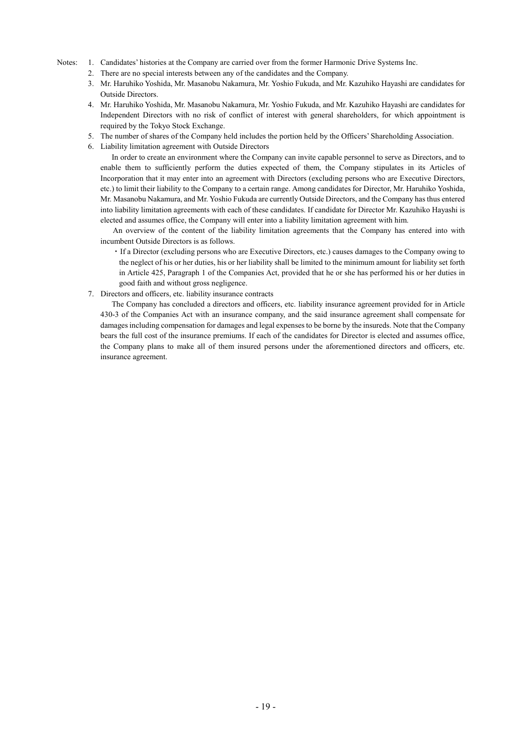#### Notes: 1. Candidates' histories at the Company are carried over from the former Harmonic Drive Systems Inc.

- 2. There are no special interests between any of the candidates and the Company.
- 3. Mr. Haruhiko Yoshida, Mr. Masanobu Nakamura, Mr. Yoshio Fukuda, and Mr. Kazuhiko Hayashi are candidates for Outside Directors.
- 4. Mr. Haruhiko Yoshida, Mr. Masanobu Nakamura, Mr. Yoshio Fukuda, and Mr. Kazuhiko Hayashi are candidates for Independent Directors with no risk of conflict of interest with general shareholders, for which appointment is required by the Tokyo Stock Exchange.
- 5. The number of shares of the Company held includes the portion held by the Officers' Shareholding Association.
- 6. Liability limitation agreement with Outside Directors

In order to create an environment where the Company can invite capable personnel to serve as Directors, and to enable them to sufficiently perform the duties expected of them, the Company stipulates in its Articles of Incorporation that it may enter into an agreement with Directors (excluding persons who are Executive Directors, etc.) to limit their liability to the Company to a certain range. Among candidates for Director, Mr. Haruhiko Yoshida, Mr. Masanobu Nakamura, and Mr. Yoshio Fukuda are currently Outside Directors, and the Company has thus entered into liability limitation agreements with each of these candidates. If candidate for Director Mr. Kazuhiko Hayashi is elected and assumes office, the Company will enter into a liability limitation agreement with him.

An overview of the content of the liability limitation agreements that the Company has entered into with incumbent Outside Directors is as follows.

- ・If a Director (excluding persons who are Executive Directors, etc.) causes damages to the Company owing to the neglect of his or her duties, his or her liability shall be limited to the minimum amount for liability set forth in Article 425, Paragraph 1 of the Companies Act, provided that he or she has performed his or her duties in good faith and without gross negligence.
- 7. Directors and officers, etc. liability insurance contracts

The Company has concluded a directors and officers, etc. liability insurance agreement provided for in Article 430-3 of the Companies Act with an insurance company, and the said insurance agreement shall compensate for damages including compensation for damages and legal expenses to be borne by the insureds. Note that the Company bears the full cost of the insurance premiums. If each of the candidates for Director is elected and assumes office, the Company plans to make all of them insured persons under the aforementioned directors and officers, etc. insurance agreement.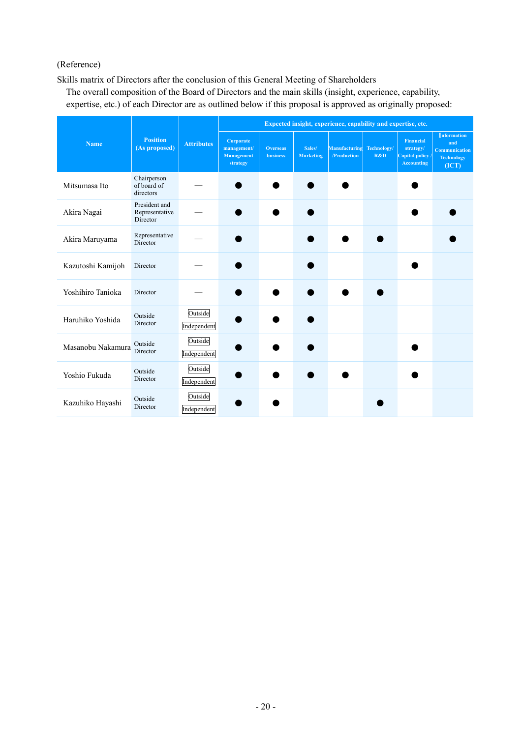# (Reference)

Skills matrix of Directors after the conclusion of this General Meeting of Shareholders

The overall composition of the Board of Directors and the main skills (insight, experience, capability, expertise, etc.) of each Director are as outlined below if this proposal is approved as originally proposed:

|                   | <b>Position</b><br>(As proposed)            | <b>Attributes</b>      | Expected insight, experience, capability and expertise, etc. |                                    |                            |                              |                    |                                                                             |                                                                          |
|-------------------|---------------------------------------------|------------------------|--------------------------------------------------------------|------------------------------------|----------------------------|------------------------------|--------------------|-----------------------------------------------------------------------------|--------------------------------------------------------------------------|
| <b>Name</b>       |                                             |                        | Corporate<br>management/<br>Management<br>strategy           | <b>Overseas</b><br><b>business</b> | Sales/<br><b>Marketing</b> | Manufacturing<br>/Production | Technology/<br>R&D | <b>Financial</b><br>strategy/<br><b>Capital policy</b><br><b>Accounting</b> | Information<br>and<br><b>Communication</b><br><b>Technology</b><br>(ICT) |
| Mitsumasa Ito     | Chairperson<br>of board of<br>directors     |                        |                                                              |                                    |                            |                              |                    |                                                                             |                                                                          |
| Akira Nagai       | President and<br>Representative<br>Director |                        |                                                              |                                    |                            |                              |                    |                                                                             |                                                                          |
| Akira Maruyama    | Representative<br>Director                  |                        |                                                              |                                    |                            |                              |                    |                                                                             |                                                                          |
| Kazutoshi Kamijoh | Director                                    |                        |                                                              |                                    |                            |                              |                    |                                                                             |                                                                          |
| Yoshihiro Tanioka | Director                                    |                        |                                                              |                                    |                            |                              |                    |                                                                             |                                                                          |
| Haruhiko Yoshida  | Outside<br>Director                         | Outside<br>Independent |                                                              |                                    |                            |                              |                    |                                                                             |                                                                          |
| Masanobu Nakamura | Outside<br>Director                         | Outside<br>Independent |                                                              |                                    |                            |                              |                    |                                                                             |                                                                          |
| Yoshio Fukuda     | Outside<br>Director                         | Outside<br>Independent |                                                              |                                    |                            |                              |                    |                                                                             |                                                                          |
| Kazuhiko Hayashi  | Outside<br>Director                         | Outside<br>Independent |                                                              |                                    |                            |                              |                    |                                                                             |                                                                          |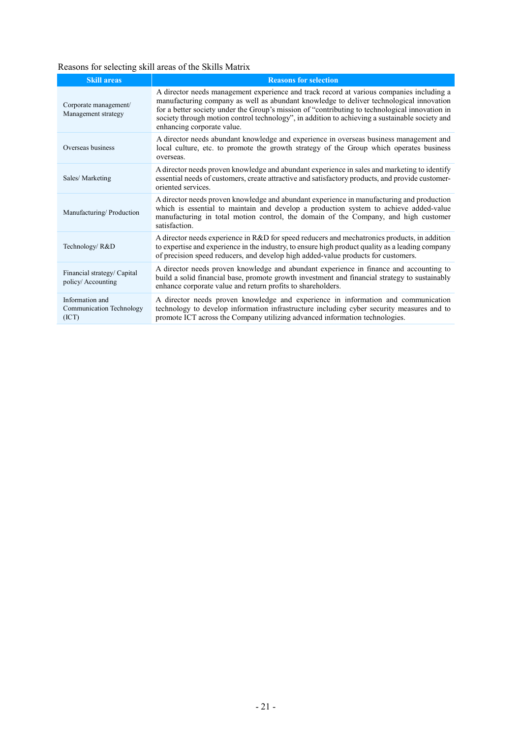# Reasons for selecting skill areas of the Skills Matrix

| <b>Skill areas</b>                                   | <b>Reasons for selection</b>                                                                                                                                                                                                                                                                                                                                                                                          |
|------------------------------------------------------|-----------------------------------------------------------------------------------------------------------------------------------------------------------------------------------------------------------------------------------------------------------------------------------------------------------------------------------------------------------------------------------------------------------------------|
| Corporate management/<br>Management strategy         | A director needs management experience and track record at various companies including a<br>manufacturing company as well as abundant knowledge to deliver technological innovation<br>for a better society under the Group's mission of "contributing to technological innovation in<br>society through motion control technology", in addition to achieving a sustainable society and<br>enhancing corporate value. |
| Overseas business                                    | A director needs abundant knowledge and experience in overseas business management and<br>local culture, etc. to promote the growth strategy of the Group which operates business<br>overseas.                                                                                                                                                                                                                        |
| Sales/Marketing                                      | A director needs proven knowledge and abundant experience in sales and marketing to identify<br>essential needs of customers, create attractive and satisfactory products, and provide customer-<br>oriented services.                                                                                                                                                                                                |
| Manufacturing/Production                             | A director needs proven knowledge and abundant experience in manufacturing and production<br>which is essential to maintain and develop a production system to achieve added-value<br>manufacturing in total motion control, the domain of the Company, and high customer<br>satisfaction.                                                                                                                            |
| Technology/R&D                                       | A director needs experience in R&D for speed reducers and mechatronics products, in addition<br>to expertise and experience in the industry, to ensure high product quality as a leading company<br>of precision speed reducers, and develop high added-value products for customers.                                                                                                                                 |
| Financial strategy/ Capital<br>policy/Accounting     | A director needs proven knowledge and abundant experience in finance and accounting to<br>build a solid financial base, promote growth investment and financial strategy to sustainably<br>enhance corporate value and return profits to shareholders.                                                                                                                                                                |
| Information and<br>Communication Technology<br>(ICT) | A director needs proven knowledge and experience in information and communication<br>technology to develop information infrastructure including cyber security measures and to<br>promote ICT across the Company utilizing advanced information technologies.                                                                                                                                                         |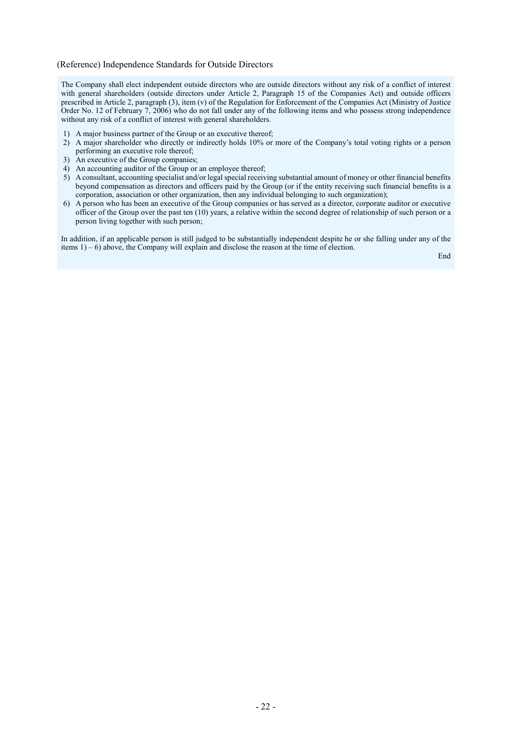#### (Reference) Independence Standards for Outside Directors

The Company shall elect independent outside directors who are outside directors without any risk of a conflict of interest with general shareholders (outside directors under Article 2, Paragraph 15 of the Companies Act) and outside officers prescribed in Article 2, paragraph (3), item (v) of the Regulation for Enforcement of the Companies Act (Ministry of Justice Order No. 12 of February 7, 2006) who do not fall under any of the following items and who possess strong independence without any risk of a conflict of interest with general shareholders.

- 1) A major business partner of the Group or an executive thereof;
- 2) A major shareholder who directly or indirectly holds 10% or more of the Company's total voting rights or a person performing an executive role thereof;
- 3) An executive of the Group companies;
- 4) An accounting auditor of the Group or an employee thereof;
- 5) Aconsultant, accounting specialist and/or legal special receiving substantial amount of money or other financial benefits beyond compensation as directors and officers paid by the Group (or if the entity receiving such financial benefits is a corporation, association or other organization, then any individual belonging to such organization);
- 6) A person who has been an executive of the Group companies or has served as a director, corporate auditor or executive officer of the Group over the past ten (10) years, a relative within the second degree of relationship of such person or a person living together with such person;

In addition, if an applicable person is still judged to be substantially independent despite he or she falling under any of the items 1) – 6) above, the Company will explain and disclose the reason at the time of election.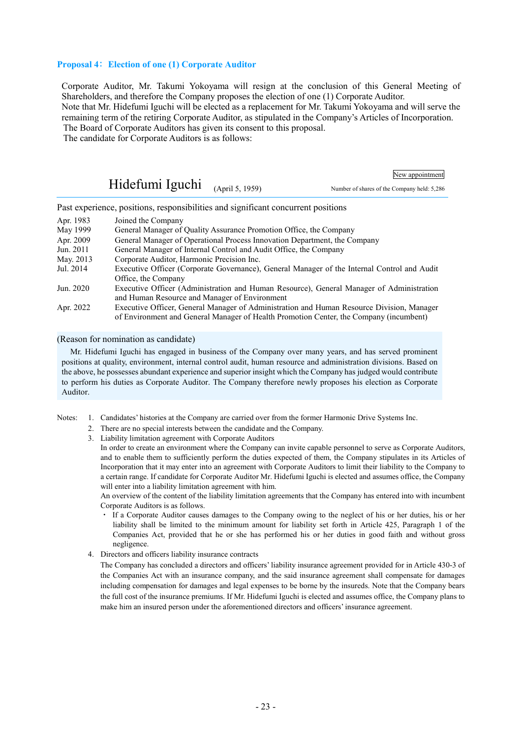#### **Proposal 4**: **Election of one (1) Corporate Auditor**

Corporate Auditor, Mr. Takumi Yokoyama will resign at the conclusion of this General Meeting of Shareholders, and therefore the Company proposes the election of one (1) Corporate Auditor. Note that Mr. Hidefumi Iguchi will be elected as a replacement for Mr. Takumi Yokoyama and will serve the remaining term of the retiring Corporate Auditor, as stipulated in the Company's Articles of Incorporation. The Board of Corporate Auditors has given its consent to this proposal.

The candidate for Corporate Auditors is as follows:

|                                      | New appointment                             |
|--------------------------------------|---------------------------------------------|
| Hidefumi Iguchi $_{(April 5, 1959)}$ | Number of shares of the Company held: 5,286 |

Past experience, positions, responsibilities and significant concurrent positions

| Apr. 1983 | Joined the Company                                                                          |
|-----------|---------------------------------------------------------------------------------------------|
| May 1999  | General Manager of Quality Assurance Promotion Office, the Company                          |
| Apr. 2009 | General Manager of Operational Process Innovation Department, the Company                   |
| Jun. 2011 | General Manager of Internal Control and Audit Office, the Company                           |
| May. 2013 | Corporate Auditor, Harmonic Precision Inc.                                                  |
| Jul. 2014 | Executive Officer (Corporate Governance), General Manager of the Internal Control and Audit |
|           | Office, the Company                                                                         |
| Jun. 2020 | Executive Officer (Administration and Human Resource), General Manager of Administration    |
|           | and Human Resource and Manager of Environment                                               |
| Apr. 2022 | Executive Officer, General Manager of Administration and Human Resource Division, Manager   |
|           | of Environment and General Manager of Health Promotion Center, the Company (incumbent)      |

#### (Reason for nomination as candidate)

Mr. Hidefumi Iguchi has engaged in business of the Company over many years, and has served prominent positions at quality, environment, internal control audit, human resource and administration divisions. Based on the above, he possesses abundant experience and superior insight which the Company has judged would contribute to perform his duties as Corporate Auditor. The Company therefore newly proposes his election as Corporate Auditor.

Notes: 1. Candidates' histories at the Company are carried over from the former Harmonic Drive Systems Inc.

- 2. There are no special interests between the candidate and the Company.
- 3. Liability limitation agreement with Corporate Auditors

In order to create an environment where the Company can invite capable personnel to serve as Corporate Auditors, and to enable them to sufficiently perform the duties expected of them, the Company stipulates in its Articles of Incorporation that it may enter into an agreement with Corporate Auditors to limit their liability to the Company to a certain range. If candidate for Corporate Auditor Mr. Hidefumi Iguchi is elected and assumes office, the Company will enter into a liability limitation agreement with him.

An overview of the content of the liability limitation agreements that the Company has entered into with incumbent Corporate Auditors is as follows.

- ・ If a Corporate Auditor causes damages to the Company owing to the neglect of his or her duties, his or her liability shall be limited to the minimum amount for liability set forth in Article 425, Paragraph 1 of the Companies Act, provided that he or she has performed his or her duties in good faith and without gross negligence.
- 4. Directors and officers liability insurance contracts

The Company has concluded a directors and officers' liability insurance agreement provided for in Article 430-3 of the Companies Act with an insurance company, and the said insurance agreement shall compensate for damages including compensation for damages and legal expenses to be borne by the insureds. Note that the Company bears the full cost of the insurance premiums. If Mr. Hidefumi Iguchi is elected and assumes office, the Company plans to make him an insured person under the aforementioned directors and officers' insurance agreement.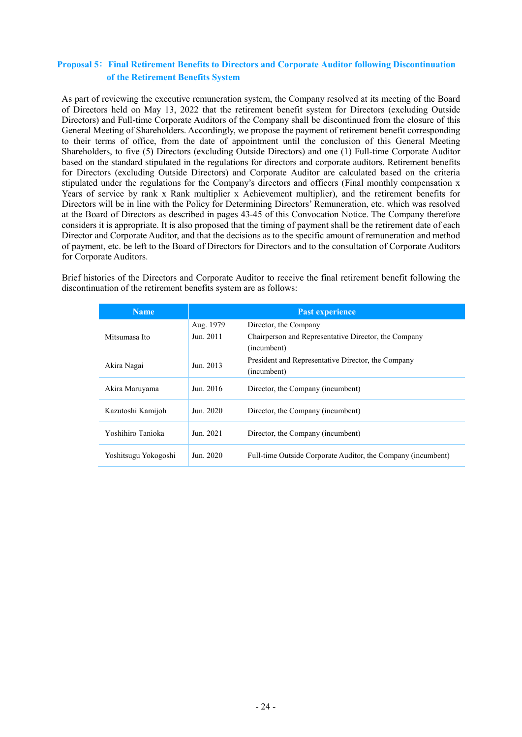# **Proposal 5**: **Final Retirement Benefits to Directors and Corporate Auditor following Discontinuation of the Retirement Benefits System**

As part of reviewing the executive remuneration system, the Company resolved at its meeting of the Board of Directors held on May 13, 2022 that the retirement benefit system for Directors (excluding Outside Directors) and Full-time Corporate Auditors of the Company shall be discontinued from the closure of this General Meeting of Shareholders. Accordingly, we propose the payment of retirement benefit corresponding to their terms of office, from the date of appointment until the conclusion of this General Meeting Shareholders, to five (5) Directors (excluding Outside Directors) and one (1) Full-time Corporate Auditor based on the standard stipulated in the regulations for directors and corporate auditors. Retirement benefits for Directors (excluding Outside Directors) and Corporate Auditor are calculated based on the criteria stipulated under the regulations for the Company's directors and officers (Final monthly compensation x Years of service by rank x Rank multiplier x Achievement multiplier), and the retirement benefits for Directors will be in line with the Policy for Determining Directors' Remuneration, etc. which was resolved at the Board of Directors as described in pages 43-45 of this Convocation Notice. The Company therefore considers it is appropriate. It is also proposed that the timing of payment shall be the retirement date of each Director and Corporate Auditor, and that the decisions as to the specific amount of remuneration and method of payment, etc. be left to the Board of Directors for Directors and to the consultation of Corporate Auditors for Corporate Auditors.

Brief histories of the Directors and Corporate Auditor to receive the final retirement benefit following the discontinuation of the retirement benefits system are as follows:

| <b>Name</b>          | Past experience |                                                              |  |  |
|----------------------|-----------------|--------------------------------------------------------------|--|--|
|                      | Aug. 1979       | Director, the Company                                        |  |  |
| Mitsumasa Ito        | Jun. 2011       | Chairperson and Representative Director, the Company         |  |  |
|                      |                 | (incumbent)                                                  |  |  |
| Akira Nagai          | Jun. 2013       | President and Representative Director, the Company           |  |  |
|                      |                 | (incumbent)                                                  |  |  |
| Akira Maruyama       | Jun. 2016       | Director, the Company (incumbent)                            |  |  |
| Kazutoshi Kamijoh    | Jun. 2020       | Director, the Company (incumbent)                            |  |  |
| Yoshihiro Tanioka    | Jun. 2021       | Director, the Company (incumbent)                            |  |  |
| Yoshitsugu Yokogoshi | Jun. 2020       | Full-time Outside Corporate Auditor, the Company (incumbent) |  |  |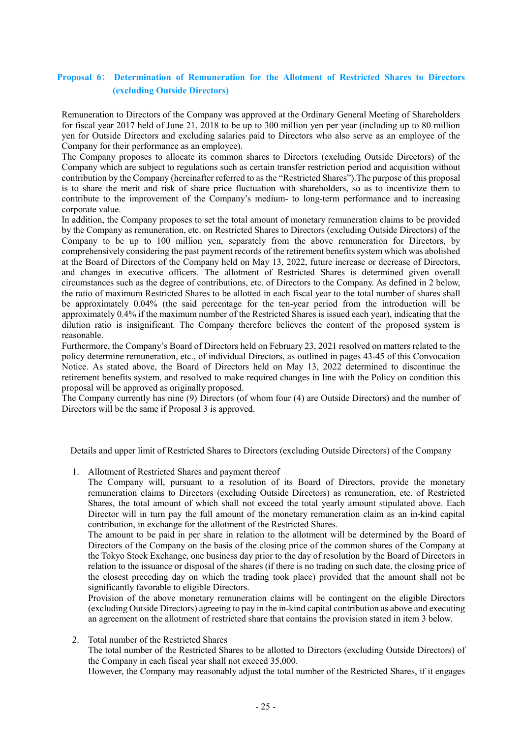# **Proposal 6**: **Determination of Remuneration for the Allotment of Restricted Shares to Directors (excluding Outside Directors)**

Remuneration to Directors of the Company was approved at the Ordinary General Meeting of Shareholders for fiscal year 2017 held of June 21, 2018 to be up to 300 million yen per year (including up to 80 million yen for Outside Directors and excluding salaries paid to Directors who also serve as an employee of the Company for their performance as an employee).

The Company proposes to allocate its common shares to Directors (excluding Outside Directors) of the Company which are subject to regulations such as certain transfer restriction period and acquisition without contribution by the Company (hereinafter referred to as the "Restricted Shares").The purpose of this proposal is to share the merit and risk of share price fluctuation with shareholders, so as to incentivize them to contribute to the improvement of the Company's medium- to long-term performance and to increasing corporate value.

In addition, the Company proposes to set the total amount of monetary remuneration claims to be provided by the Company as remuneration, etc. on Restricted Shares to Directors (excluding Outside Directors) of the Company to be up to 100 million yen, separately from the above remuneration for Directors, by comprehensively considering the past payment records of the retirement benefits system which was abolished at the Board of Directors of the Company held on May 13, 2022, future increase or decrease of Directors, and changes in executive officers. The allotment of Restricted Shares is determined given overall circumstances such as the degree of contributions, etc. of Directors to the Company. As defined in 2 below, the ratio of maximum Restricted Shares to be allotted in each fiscal year to the total number of shares shall be approximately 0.04% (the said percentage for the ten-year period from the introduction will be approximately 0.4% if the maximum number of the Restricted Shares is issued each year), indicating that the dilution ratio is insignificant. The Company therefore believes the content of the proposed system is reasonable.

Furthermore, the Company's Board of Directors held on February 23, 2021 resolved on matters related to the policy determine remuneration, etc., of individual Directors, as outlined in pages 43-45 of this Convocation Notice. As stated above, the Board of Directors held on May 13, 2022 determined to discontinue the retirement benefits system, and resolved to make required changes in line with the Policy on condition this proposal will be approved as originally proposed.

The Company currently has nine (9) Directors (of whom four (4) are Outside Directors) and the number of Directors will be the same if Proposal 3 is approved.

Details and upper limit of Restricted Shares to Directors (excluding Outside Directors) of the Company

1. Allotment of Restricted Shares and payment thereof

The Company will, pursuant to a resolution of its Board of Directors, provide the monetary remuneration claims to Directors (excluding Outside Directors) as remuneration, etc. of Restricted Shares, the total amount of which shall not exceed the total yearly amount stipulated above. Each Director will in turn pay the full amount of the monetary remuneration claim as an in-kind capital contribution, in exchange for the allotment of the Restricted Shares.

The amount to be paid in per share in relation to the allotment will be determined by the Board of Directors of the Company on the basis of the closing price of the common shares of the Company at the Tokyo Stock Exchange, one business day prior to the day of resolution by the Board of Directors in relation to the issuance or disposal of the shares (if there is no trading on such date, the closing price of the closest preceding day on which the trading took place) provided that the amount shall not be significantly favorable to eligible Directors.

Provision of the above monetary remuneration claims will be contingent on the eligible Directors (excluding Outside Directors) agreeing to pay in the in-kind capital contribution as above and executing an agreement on the allotment of restricted share that contains the provision stated in item 3 below.

2. Total number of the Restricted Shares

The total number of the Restricted Shares to be allotted to Directors (excluding Outside Directors) of the Company in each fiscal year shall not exceed 35,000.

However, the Company may reasonably adjust the total number of the Restricted Shares, if it engages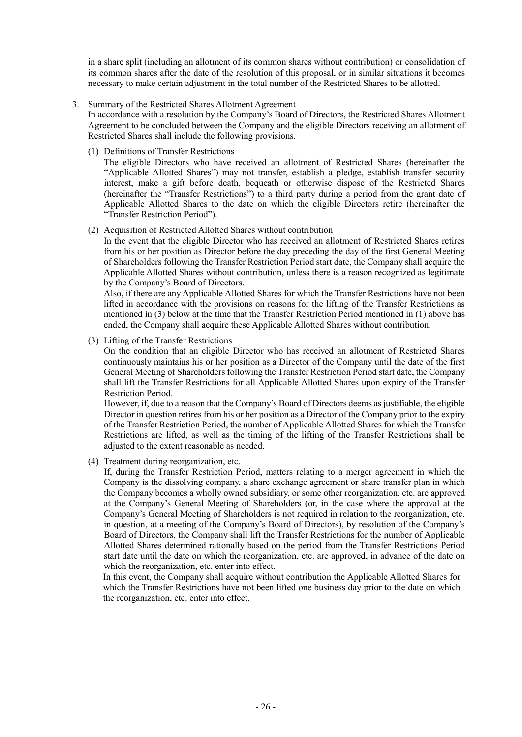in a share split (including an allotment of its common shares without contribution) or consolidation of its common shares after the date of the resolution of this proposal, or in similar situations it becomes necessary to make certain adjustment in the total number of the Restricted Shares to be allotted.

#### 3. Summary of the Restricted Shares Allotment Agreement

In accordance with a resolution by the Company's Board of Directors, the Restricted Shares Allotment Agreement to be concluded between the Company and the eligible Directors receiving an allotment of Restricted Shares shall include the following provisions.

(1) Definitions of Transfer Restrictions

The eligible Directors who have received an allotment of Restricted Shares (hereinafter the "Applicable Allotted Shares") may not transfer, establish a pledge, establish transfer security interest, make a gift before death, bequeath or otherwise dispose of the Restricted Shares (hereinafter the "Transfer Restrictions") to a third party during a period from the grant date of Applicable Allotted Shares to the date on which the eligible Directors retire (hereinafter the "Transfer Restriction Period").

(2) Acquisition of Restricted Allotted Shares without contribution

In the event that the eligible Director who has received an allotment of Restricted Shares retires from his or her position as Director before the day preceding the day of the first General Meeting of Shareholders following the Transfer Restriction Period start date, the Company shall acquire the Applicable Allotted Shares without contribution, unless there is a reason recognized as legitimate by the Company's Board of Directors.

Also, if there are any Applicable Allotted Shares for which the Transfer Restrictions have not been lifted in accordance with the provisions on reasons for the lifting of the Transfer Restrictions as mentioned in (3) below at the time that the Transfer Restriction Period mentioned in (1) above has ended, the Company shall acquire these Applicable Allotted Shares without contribution.

(3) Lifting of the Transfer Restrictions

On the condition that an eligible Director who has received an allotment of Restricted Shares continuously maintains his or her position as a Director of the Company until the date of the first General Meeting of Shareholders following the Transfer Restriction Period start date, the Company shall lift the Transfer Restrictions for all Applicable Allotted Shares upon expiry of the Transfer Restriction Period.

However, if, due to a reason that the Company's Board of Directors deems as justifiable, the eligible Director in question retires from his or her position as a Director of the Company prior to the expiry of the Transfer Restriction Period, the number of Applicable Allotted Shares for which the Transfer Restrictions are lifted, as well as the timing of the lifting of the Transfer Restrictions shall be adjusted to the extent reasonable as needed.

(4) Treatment during reorganization, etc.

If, during the Transfer Restriction Period, matters relating to a merger agreement in which the Company is the dissolving company, a share exchange agreement or share transfer plan in which the Company becomes a wholly owned subsidiary, or some other reorganization, etc. are approved at the Company's General Meeting of Shareholders (or, in the case where the approval at the Company's General Meeting of Shareholders is not required in relation to the reorganization, etc. in question, at a meeting of the Company's Board of Directors), by resolution of the Company's Board of Directors, the Company shall lift the Transfer Restrictions for the number of Applicable Allotted Shares determined rationally based on the period from the Transfer Restrictions Period start date until the date on which the reorganization, etc. are approved, in advance of the date on which the reorganization, etc. enter into effect.

In this event, the Company shall acquire without contribution the Applicable Allotted Shares for which the Transfer Restrictions have not been lifted one business day prior to the date on which the reorganization, etc. enter into effect.